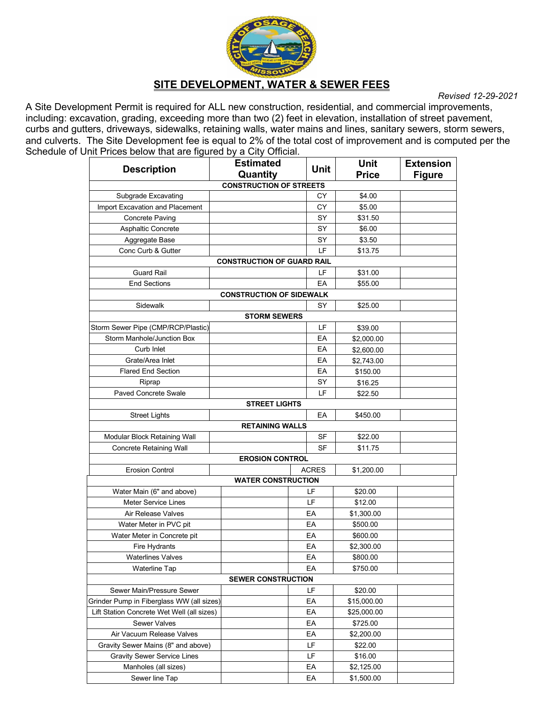

#### **SITE DEVELOPMENT, WATER & SEWER FEES**

*Revised 12-29-2021*

A Site Development Permit is required for ALL new construction, residential, and commercial improvements, including: excavation, grading, exceeding more than two (2) feet in elevation, installation of street pavement, curbs and gutters, driveways, sidewalks, retaining walls, water mains and lines, sanitary sewers, storm sewers, and culverts. The Site Development fee is equal to 2% of the total cost of improvement and is computed per the Schedule of Unit Prices below that are figured by a City Official.

| <b>Description</b>                         |  | <b>Estimated</b><br>Quantity      |    | <b>Unit</b>                | <b>Unit</b><br><b>Price</b> | <b>Extension</b><br><b>Figure</b> |
|--------------------------------------------|--|-----------------------------------|----|----------------------------|-----------------------------|-----------------------------------|
|                                            |  | <b>CONSTRUCTION OF STREETS</b>    |    |                            |                             |                                   |
| Subgrade Excavating                        |  |                                   |    | СY                         | \$4.00                      |                                   |
| Import Excavation and Placement            |  |                                   |    | СY                         | \$5.00                      |                                   |
| <b>Concrete Paving</b>                     |  |                                   |    | SY                         | \$31.50                     |                                   |
| Asphaltic Concrete                         |  |                                   |    | SY                         | \$6.00                      |                                   |
| Aggregate Base                             |  |                                   |    | SY                         | \$3.50                      |                                   |
| Conc Curb & Gutter                         |  |                                   |    | LF.                        | \$13.75                     |                                   |
|                                            |  | <b>CONSTRUCTION OF GUARD RAIL</b> |    |                            |                             |                                   |
| <b>Guard Rail</b>                          |  |                                   |    | LF                         | \$31.00                     |                                   |
| <b>End Sections</b>                        |  |                                   |    | EA                         | \$55.00                     |                                   |
| <b>CONSTRUCTION OF SIDEWALK</b>            |  |                                   |    |                            |                             |                                   |
| Sidewalk                                   |  |                                   |    | SY                         | \$25.00                     |                                   |
|                                            |  | <b>STORM SEWERS</b>               |    |                            |                             |                                   |
| Storm Sewer Pipe (CMP/RCP/Plastic)         |  |                                   |    | LF                         | \$39.00                     |                                   |
| Storm Manhole/Junction Box                 |  |                                   |    | EА                         | \$2,000.00                  |                                   |
| Curb Inlet                                 |  |                                   |    | EA                         | \$2,600.00                  |                                   |
| Grate/Area Inlet                           |  |                                   |    | EA                         | \$2,743.00                  |                                   |
| <b>Flared End Section</b>                  |  |                                   |    | EA                         | \$150.00                    |                                   |
| Riprap                                     |  |                                   |    | SY                         | \$16.25                     |                                   |
| <b>Paved Concrete Swale</b>                |  |                                   |    | LF                         | \$22.50                     |                                   |
|                                            |  | <b>STREET LIGHTS</b>              |    |                            |                             |                                   |
| <b>Street Lights</b>                       |  |                                   |    | EA                         | \$450.00                    |                                   |
|                                            |  | <b>RETAINING WALLS</b>            |    |                            |                             |                                   |
| Modular Block Retaining Wall               |  |                                   |    | SF                         | \$22.00                     |                                   |
| <b>Concrete Retaining Wall</b>             |  |                                   |    | SF                         | \$11.75                     |                                   |
|                                            |  | <b>EROSION CONTROL</b>            |    |                            |                             |                                   |
| <b>Erosion Control</b>                     |  |                                   |    | <b>ACRES</b><br>\$1,200.00 |                             |                                   |
|                                            |  | <b>WATER CONSTRUCTION</b>         |    |                            |                             |                                   |
| Water Main (6" and above)                  |  |                                   |    | LF                         | \$20.00                     |                                   |
| <b>Meter Service Lines</b>                 |  |                                   |    | LF                         | \$12.00                     |                                   |
| Air Release Valves                         |  |                                   |    | EА                         | \$1,300.00                  |                                   |
| Water Meter in PVC pit                     |  |                                   | EА | \$500.00                   |                             |                                   |
| Water Meter in Concrete pit                |  |                                   |    | EA                         | \$600.00                    |                                   |
| Fire Hydrants                              |  |                                   |    | EA                         | \$2,300.00                  |                                   |
| <b>Waterlines Valves</b>                   |  |                                   |    | EA                         | \$800.00                    |                                   |
| <b>Waterline Tap</b>                       |  |                                   |    | EА                         | \$750.00                    |                                   |
| <b>SEWER CONSTRUCTION</b>                  |  |                                   |    |                            |                             |                                   |
| Sewer Main/Pressure Sewer                  |  |                                   |    | LF                         | \$20.00                     |                                   |
| Grinder Pump in Fiberglass WW (all sizes)  |  |                                   | EA | \$15,000.00                |                             |                                   |
| Lift Station Concrete Wet Well (all sizes) |  |                                   |    | ЕA                         | \$25,000.00                 |                                   |
| <b>Sewer Valves</b>                        |  |                                   | ЕA | \$725.00                   |                             |                                   |
| Air Vacuum Release Valves                  |  |                                   | ЕA | \$2,200.00                 |                             |                                   |
| Gravity Sewer Mains (8" and above)         |  |                                   | LF | \$22.00                    |                             |                                   |
| <b>Gravity Sewer Service Lines</b>         |  |                                   | LF | \$16.00                    |                             |                                   |
| Manholes (all sizes)                       |  |                                   | EA | \$2,125.00                 |                             |                                   |
| Sewer line Tap                             |  |                                   | EА | \$1,500.00                 |                             |                                   |